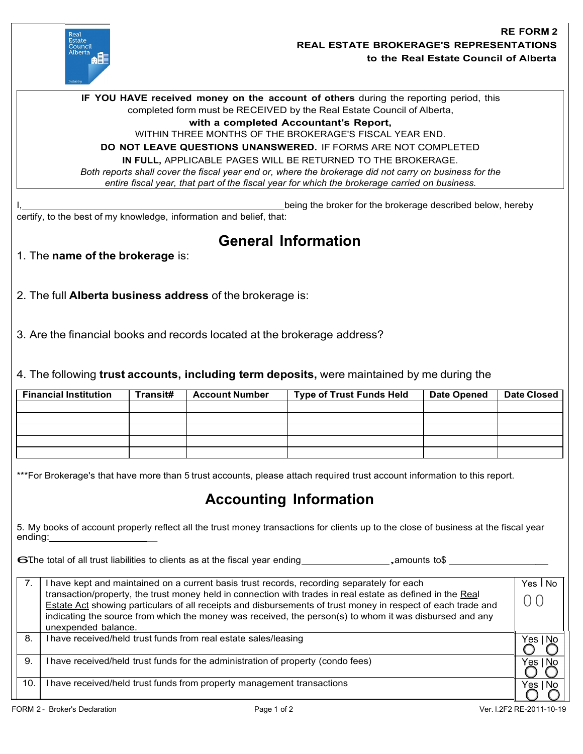

being the broker for the brokerage described below, hereby certify, to the best of my knowledge, information and belief, that: **IF YOU HAVE received money on the account of others** during the reporting period, this completed form must be RECEIVED by the Real Estate Council of Alberta, **with a completed Accountant's Report,** WITHIN THREE MONTHS OF THE BROKERAGE'S FISCAL YEAR END. **DO NOT LEAVE QUESTIONS UNANSWERED.** IF FORMS ARE NOT COMPLETED **IN FULL,** APPLICABLE PAGES WILL BE RETURNED TO THE BROKERAGE. *Both reports shall cover the fiscal year end or, where the brokerage did not carry on business for the entire fiscal year, that part of the fiscal year for which the brokerage carried on business.*

## **General Information**

- 1. The **name of the brokerage** is:
- 2. The full **Alberta business address** of the brokerage is:

3. Are the financial books and records located at the brokerage address?

4. The following **trust accounts, including term deposits,** were maintained by me during the

| <b>Financial Institution</b> | Transit# | <b>Account Number</b> | <b>Type of Trust Funds Held</b> | <b>Date Opened</b> | <b>Date Closed</b> |
|------------------------------|----------|-----------------------|---------------------------------|--------------------|--------------------|
|                              |          |                       |                                 |                    |                    |
|                              |          |                       |                                 |                    |                    |
|                              |          |                       |                                 |                    |                    |
|                              |          |                       |                                 |                    |                    |
|                              |          |                       |                                 |                    |                    |

\*\*\*For Brokerage's that have more than 5 trust accounts, please attach required trust account information to this report.

## **Accounting Information**

5. My books of account properly reflect all the trust money transactions for clients up to the close of business at the fiscal year ending: \_

6The total of all trust liabilities to clients as at the fiscal year ending  $\Box$ , amounts to\$

| 7.  | I have kept and maintained on a current basis trust records, recording separately for each<br>transaction/property, the trust money held in connection with trades in real estate as defined in the Real<br>Estate Act showing particulars of all receipts and disbursements of trust money in respect of each trade and<br>indicating the source from which the money was received, the person(s) to whom it was disbursed and any<br>unexpended balance. | Yes I No<br>O C |
|-----|------------------------------------------------------------------------------------------------------------------------------------------------------------------------------------------------------------------------------------------------------------------------------------------------------------------------------------------------------------------------------------------------------------------------------------------------------------|-----------------|
| 8.  | I have received/held trust funds from real estate sales/leasing                                                                                                                                                                                                                                                                                                                                                                                            | Yes '<br>-No    |
| 9.  | I have received/held trust funds for the administration of property (condo fees)                                                                                                                                                                                                                                                                                                                                                                           | 'es             |
| 10. | I have received/held trust funds from property management transactions                                                                                                                                                                                                                                                                                                                                                                                     | No.<br>Yes      |